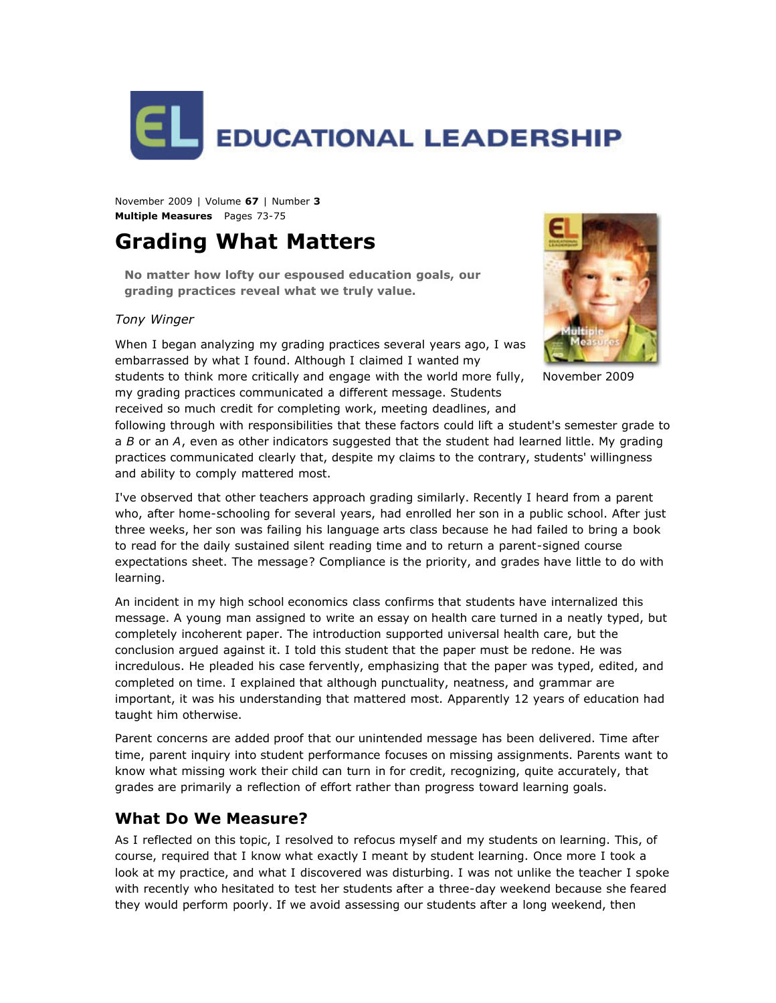

November 2009 | Volume **67** | Number **3 Multiple Measures** Pages 73-75

# **Grading What Matters**

**No matter how lofty our espoused education goals, our grading practices reveal what we truly value.**

#### *Tony Winger*

When I began analyzing my grading practices several years ago, I was embarrassed by what I found. Although I claimed I wanted my students to think more critically and engage with the world more fully,

my grading practices communicated a different message. Students received so much credit for completing work, meeting deadlines, and



November 2009

following through with responsibilities that these factors could lift a student's semester grade to a *B* or an *A*, even as other indicators suggested that the student had learned little. My grading practices communicated clearly that, despite my claims to the contrary, students' willingness and ability to comply mattered most.

I've observed that other teachers approach grading similarly. Recently I heard from a parent who, after home-schooling for several years, had enrolled her son in a public school. After just three weeks, her son was failing his language arts class because he had failed to bring a book to read for the daily sustained silent reading time and to return a parent-signed course expectations sheet. The message? Compliance is the priority, and grades have little to do with learning.

An incident in my high school economics class confirms that students have internalized this message. A young man assigned to write an essay on health care turned in a neatly typed, but completely incoherent paper. The introduction supported universal health care, but the conclusion argued against it. I told this student that the paper must be redone. He was incredulous. He pleaded his case fervently, emphasizing that the paper was typed, edited, and completed on time. I explained that although punctuality, neatness, and grammar are important, it was his understanding that mattered most. Apparently 12 years of education had taught him otherwise.

Parent concerns are added proof that our unintended message has been delivered. Time after time, parent inquiry into student performance focuses on missing assignments. Parents want to know what missing work their child can turn in for credit, recognizing, quite accurately, that grades are primarily a reflection of effort rather than progress toward learning goals.

### **What Do We Measure?**

As I reflected on this topic, I resolved to refocus myself and my students on learning. This, of course, required that I know what exactly I meant by student learning. Once more I took a look at my practice, and what I discovered was disturbing. I was not unlike the teacher I spoke with recently who hesitated to test her students after a three-day weekend because she feared they would perform poorly. If we avoid assessing our students after a long weekend, then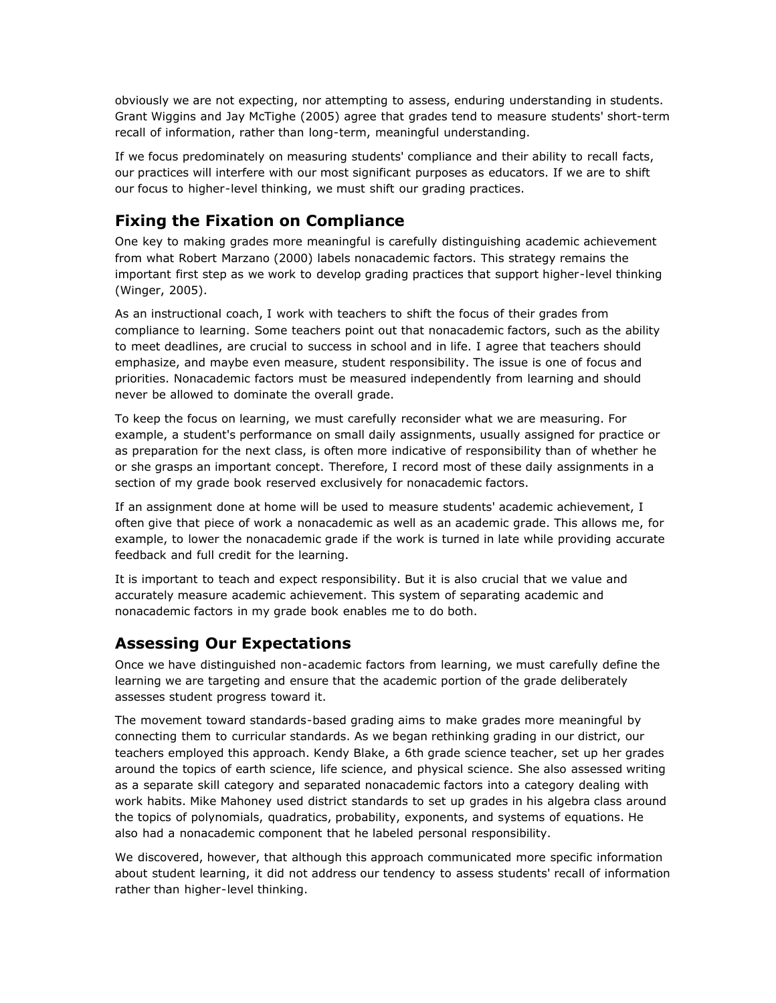obviously we are not expecting, nor attempting to assess, enduring understanding in students. Grant Wiggins and Jay McTighe (2005) agree that grades tend to measure students' short-term recall of information, rather than long-term, meaningful understanding.

If we focus predominately on measuring students' compliance and their ability to recall facts, our practices will interfere with our most significant purposes as educators. If we are to shift our focus to higher-level thinking, we must shift our grading practices.

# **Fixing the Fixation on Compliance**

One key to making grades more meaningful is carefully distinguishing academic achievement from what Robert Marzano (2000) labels nonacademic factors. This strategy remains the important first step as we work to develop grading practices that support higher-level thinking (Winger, 2005).

As an instructional coach, I work with teachers to shift the focus of their grades from compliance to learning. Some teachers point out that nonacademic factors, such as the ability to meet deadlines, are crucial to success in school and in life. I agree that teachers should emphasize, and maybe even measure, student responsibility. The issue is one of focus and priorities. Nonacademic factors must be measured independently from learning and should never be allowed to dominate the overall grade.

To keep the focus on learning, we must carefully reconsider what we are measuring. For example, a student's performance on small daily assignments, usually assigned for practice or as preparation for the next class, is often more indicative of responsibility than of whether he or she grasps an important concept. Therefore, I record most of these daily assignments in a section of my grade book reserved exclusively for nonacademic factors.

If an assignment done at home will be used to measure students' academic achievement, I often give that piece of work a nonacademic as well as an academic grade. This allows me, for example, to lower the nonacademic grade if the work is turned in late while providing accurate feedback and full credit for the learning.

It is important to teach and expect responsibility. But it is also crucial that we value and accurately measure academic achievement. This system of separating academic and nonacademic factors in my grade book enables me to do both.

### **Assessing Our Expectations**

Once we have distinguished non-academic factors from learning, we must carefully define the learning we are targeting and ensure that the academic portion of the grade deliberately assesses student progress toward it.

The movement toward standards-based grading aims to make grades more meaningful by connecting them to curricular standards. As we began rethinking grading in our district, our teachers employed this approach. Kendy Blake, a 6th grade science teacher, set up her grades around the topics of earth science, life science, and physical science. She also assessed writing as a separate skill category and separated nonacademic factors into a category dealing with work habits. Mike Mahoney used district standards to set up grades in his algebra class around the topics of polynomials, quadratics, probability, exponents, and systems of equations. He also had a nonacademic component that he labeled personal responsibility.

We discovered, however, that although this approach communicated more specific information about student learning, it did not address our tendency to assess students' recall of information rather than higher-level thinking.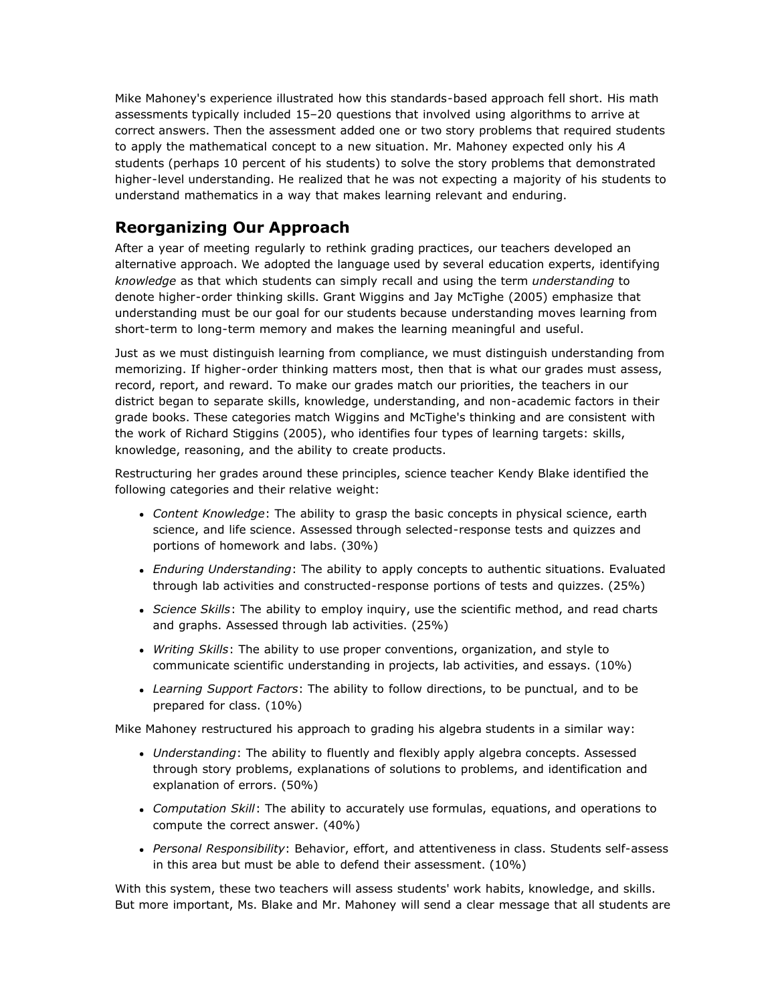Mike Mahoney's experience illustrated how this standards-based approach fell short. His math assessments typically included 15–20 questions that involved using algorithms to arrive at correct answers. Then the assessment added one or two story problems that required students to apply the mathematical concept to a new situation. Mr. Mahoney expected only his *A* students (perhaps 10 percent of his students) to solve the story problems that demonstrated higher-level understanding. He realized that he was not expecting a majority of his students to understand mathematics in a way that makes learning relevant and enduring.

# **Reorganizing Our Approach**

After a year of meeting regularly to rethink grading practices, our teachers developed an alternative approach. We adopted the language used by several education experts, identifying *knowledge* as that which students can simply recall and using the term *understanding* to denote higher-order thinking skills. Grant Wiggins and Jay McTighe (2005) emphasize that understanding must be our goal for our students because understanding moves learning from short-term to long-term memory and makes the learning meaningful and useful.

Just as we must distinguish learning from compliance, we must distinguish understanding from memorizing. If higher-order thinking matters most, then that is what our grades must assess, record, report, and reward. To make our grades match our priorities, the teachers in our district began to separate skills, knowledge, understanding, and non-academic factors in their grade books. These categories match Wiggins and McTighe's thinking and are consistent with the work of Richard Stiggins (2005), who identifies four types of learning targets: skills, knowledge, reasoning, and the ability to create products.

Restructuring her grades around these principles, science teacher Kendy Blake identified the following categories and their relative weight:

- *Content Knowledge*: The ability to grasp the basic concepts in physical science, earth science, and life science. Assessed through selected-response tests and quizzes and portions of homework and labs. (30%)
- *Enduring Understanding*: The ability to apply concepts to authentic situations. Evaluated through lab activities and constructed-response portions of tests and quizzes. (25%)
- *Science Skills*: The ability to employ inquiry, use the scientific method, and read charts and graphs. Assessed through lab activities. (25%)
- *Writing Skills*: The ability to use proper conventions, organization, and style to communicate scientific understanding in projects, lab activities, and essays. (10%)
- *Learning Support Factors*: The ability to follow directions, to be punctual, and to be prepared for class. (10%)

Mike Mahoney restructured his approach to grading his algebra students in a similar way:

- *Understanding*: The ability to fluently and flexibly apply algebra concepts. Assessed through story problems, explanations of solutions to problems, and identification and explanation of errors. (50%)
- *Computation Skill*: The ability to accurately use formulas, equations, and operations to compute the correct answer. (40%)
- *Personal Responsibility*: Behavior, effort, and attentiveness in class. Students self-assess in this area but must be able to defend their assessment. (10%)

With this system, these two teachers will assess students' work habits, knowledge, and skills. But more important, Ms. Blake and Mr. Mahoney will send a clear message that all students are